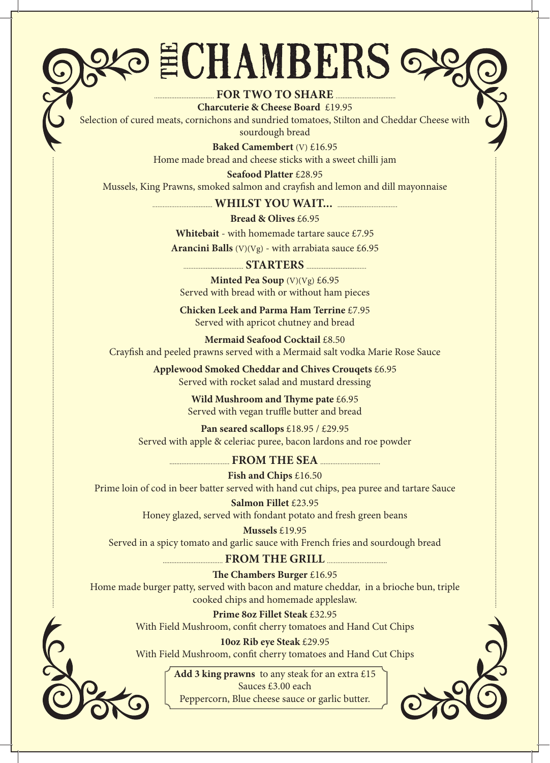## ECHAMBERS 6

### **FOR TWO TO SHARE**

**Charcuterie & Cheese Board** £19.95 Selection of cured meats, cornichons and sundried tomatoes, Stilton and Cheddar Cheese with sourdough bread

> **Baked Camembert** (V) £16.95 Home made bread and cheese sticks with a sweet chilli jam

**Seafood Platter** £28.95 Mussels, King Prawns, smoked salmon and crayfish and lemon and dill mayonnaise

 **WHILST YOU WAIT...** 

**Bread & Olives** £6.95

**Whitebait** - with homemade tartare sauce £7.95

**Arancini Balls** (V)(Vg) - with arrabiata sauce £6.95

 **STARTERS Minted Pea Soup** (V)(Vg) £6.95 Served with bread with or without ham pieces

**Chicken Leek and Parma Ham Terrine** £7.95 Served with apricot chutney and bread

**Mermaid Seafood Cocktail** £8.50 Crayfish and peeled prawns served with a Mermaid salt vodka Marie Rose Sauce

> **Applewood Smoked Cheddar and Chives Crouqets** £6.95 Served with rocket salad and mustard dressing

> > **Wild Mushroom and Thyme pate** £6.95 Served with vegan truffle butter and bread

**Pan seared scallops** £18.95 / £29.95 Served with apple & celeriac puree, bacon lardons and roe powder

**EXAMPLE SEA FROM THE SEA** *REA* 

**Fish and Chips** £16.50 Prime loin of cod in beer batter served with hand cut chips, pea puree and tartare Sauce

> **Salmon Fillet** £23.95 Honey glazed, served with fondant potato and fresh green beans

**Mussels** £19.95 Served in a spicy tomato and garlic sauce with French fries and sourdough bread

### **FROM THE GRILL**

**The Chambers Burger** £16.95 Home made burger patty, served with bacon and mature cheddar, in a brioche bun, triple cooked chips and homemade appleslaw.

> **Prime 8oz Fillet Steak** £32.95 With Field Mushroom, confit cherry tomatoes and Hand Cut Chips

> **10oz Rib eye Steak** £29.95 With Field Mushroom, confit cherry tomatoes and Hand Cut Chips

> > **Add 3 king prawns** to any steak for an extra £15 Sauces £3.00 each Peppercorn, Blue cheese sauce or garlic butter.